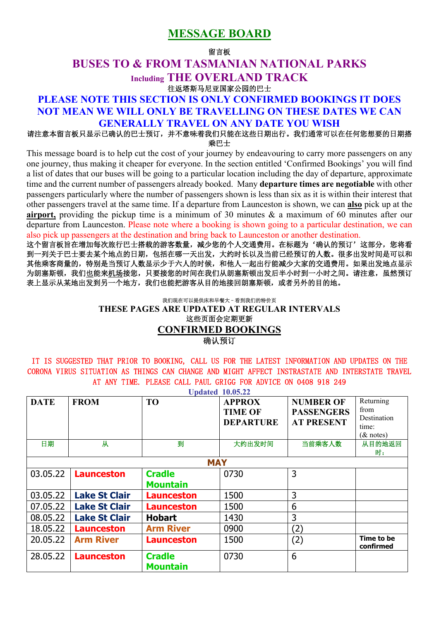# **MESSAGE BOARD**

#### 留言板

# **BUSES TO & FROM TASMANIAN NATIONAL PARKS Including THE OVERLAND TRACK**  往返塔斯马尼亚国家公园的巴士

# **PLEASE NOTE THIS SECTION IS ONLY CONFIRMED BOOKINGS IT DOES NOT MEAN WE WILL ONLY BE TRAVELLING ON THESE DATES WE CAN GENERALLY TRAVEL ON ANY DATE YOU WISH**

### 请注意本留言板只显示已确认的巴士预订,并不意味着我们只能在这些日期出行。我们通常可以在任何您想要的日期搭 乘巴士

This message board is to help cut the cost of your journey by endeavouring to carry more passengers on any one journey, thus making it cheaper for everyone. In the section entitled 'Confirmed Bookings' you will find a list of dates that our buses will be going to a particular location including the day of departure, approximate time and the current number of passengers already booked. Many **departure times are negotiable** with other passengers particularly where the number of passengers shown is less than six as it is within their interest that other passengers travel at the same time. If a departure from Launceston is shown, we can **also** pick up at the **airport,** providing the pickup time is a minimum of 30 minutes & a maximum of 60 minutes after our departure from Launceston. Please note where a booking is shown going to a particular destination, we can also pick up passengers at the destination and bring back to Launceston or another destination.

这个留言板旨在增加每次旅行巴士搭载的游客数量,减少您的个人交通费用。在标题为'确认的预订'这部分,您将看 到一列关于巴士要去某个地点的日期,包括在哪一天出发,大约时长以及当前已经预订的人数。很多出发时间是可以和 其他乘客商量的,特别是当预订人数显示少于六人的时候,和他人一起出行能减少大家的交通费用。如果出发地点显示 为朗塞斯顿,我们也能来机场接您,只要接您的时间在我们从朗塞斯顿出发后半小时到一小时之间。请注意,虽然预订 表上显示从某地出发到另一个地方,我们也能把游客从目的地接回朗塞斯顿,或者另外的目的地。

### 我们现在可以提供床和早餐大–看到我们的特价页 **THESE PAGES ARE UPDATED AT REGULAR INTERVALS**  这些页面会定期更新 **CONFIRMED BOOKINGS**  确认预订

### IT IS SUGGESTED THAT PRIOR TO BOOKING, CALL US FOR THE LATEST INFORMATION AND UPDATES ON THE CORONA VIRUS SITUATION AS THINGS CAN CHANGE AND MIGHT AFFECT INSTRASTATE AND INTERSTATE TRAVEL AT ANY TIME. PLEASE CALL PAUL GRIGG FOR ADVICE ON 0408 918 249

| <b>Updated 10.05.22</b> |                      |                   |                  |                   |                         |  |  |
|-------------------------|----------------------|-------------------|------------------|-------------------|-------------------------|--|--|
| <b>DATE</b>             | <b>FROM</b>          | T <sub>O</sub>    | <b>APPROX</b>    | <b>NUMBER OF</b>  | Returning               |  |  |
|                         |                      |                   | <b>TIME OF</b>   | <b>PASSENGERS</b> | from                    |  |  |
|                         |                      |                   | <b>DEPARTURE</b> | <b>AT PRESENT</b> | Destination             |  |  |
|                         |                      |                   |                  |                   | time:                   |  |  |
|                         |                      |                   |                  |                   | $(x$ notes)             |  |  |
| 日期                      | 从                    | 到                 | 大约出发时间           | 当前乘客人数            | 从目的地返回                  |  |  |
|                         |                      |                   |                  |                   | 时:                      |  |  |
| <b>MAY</b>              |                      |                   |                  |                   |                         |  |  |
| 03.05.22                | <b>Launceston</b>    | <b>Cradle</b>     | 0730             | 3                 |                         |  |  |
|                         |                      | <b>Mountain</b>   |                  |                   |                         |  |  |
| 03.05.22                | <b>Lake St Clair</b> | <b>Launceston</b> | 1500             | 3                 |                         |  |  |
| 07.05.22                | <b>Lake St Clair</b> | <b>Launceston</b> | 1500             | 6                 |                         |  |  |
| 08.05.22                | <b>Lake St Clair</b> | <b>Hobart</b>     | 1430             | 3                 |                         |  |  |
| 18.05.22                | <b>Launceston</b>    | <b>Arm River</b>  | 0900             | (2)               |                         |  |  |
| 20.05.22                | <b>Arm River</b>     | <b>Launceston</b> | 1500             | (2)               | Time to be<br>confirmed |  |  |
| 28.05.22                | <b>Launceston</b>    | <b>Cradle</b>     | 0730             | 6                 |                         |  |  |
|                         |                      | <b>Mountain</b>   |                  |                   |                         |  |  |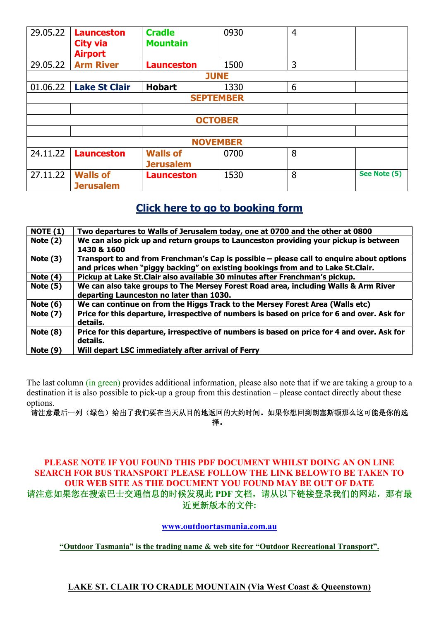| 29.05.22         | <b>Launceston</b><br><b>City via</b><br><b>Airport</b> | <b>Cradle</b><br><b>Mountain</b> | 0930 | 4 |              |
|------------------|--------------------------------------------------------|----------------------------------|------|---|--------------|
| 29.05.22         | <b>Arm River</b>                                       | <b>Launceston</b>                | 1500 | 3 |              |
| <b>JUNE</b>      |                                                        |                                  |      |   |              |
| 01.06.22         | <b>Lake St Clair</b>                                   | <b>Hobart</b>                    | 1330 | 6 |              |
| <b>SEPTEMBER</b> |                                                        |                                  |      |   |              |
|                  |                                                        |                                  |      |   |              |
| <b>OCTOBER</b>   |                                                        |                                  |      |   |              |
|                  |                                                        |                                  |      |   |              |
| <b>NOVEMBER</b>  |                                                        |                                  |      |   |              |
| 24.11.22         | <b>Launceston</b>                                      | <b>Walls of</b>                  | 0700 | 8 |              |
|                  |                                                        | <b>Jerusalem</b>                 |      |   |              |
| 27.11.22         | <b>Walls of</b><br><b>Jerusalem</b>                    | <b>Launceston</b>                | 1530 | 8 | See Note (5) |

# **Click here to go to booking form**

| <b>NOTE (1)</b> | Two departures to Walls of Jerusalem today, one at 0700 and the other at 0800               |
|-----------------|---------------------------------------------------------------------------------------------|
| Note $(2)$      | We can also pick up and return groups to Launceston providing your pickup is between        |
|                 | 1430 & 1600                                                                                 |
| Note $(3)$      | Transport to and from Frenchman's Cap is possible – please call to enquire about options    |
|                 | and prices when "piggy backing" on existing bookings from and to Lake St.Clair.             |
| Note $(4)$      | Pickup at Lake St. Clair also available 30 minutes after Frenchman's pickup.                |
| Note $(5)$      | We can also take groups to The Mersey Forest Road area, including Walls & Arm River         |
|                 | departing Launceston no later than 1030.                                                    |
| Note $(6)$      | We can continue on from the Higgs Track to the Mersey Forest Area (Walls etc)               |
| <b>Note (7)</b> | Price for this departure, irrespective of numbers is based on price for 6 and over. Ask for |
|                 | details.                                                                                    |
| Note $(8)$      | Price for this departure, irrespective of numbers is based on price for 4 and over. Ask for |
|                 | details.                                                                                    |
| Note $(9)$      | Will depart LSC immediately after arrival of Ferry                                          |
|                 |                                                                                             |

The last column (in green) provides additional information, please also note that if we are taking a group to a destination it is also possible to pick-up a group from this destination – please contact directly about these options.

请注意最后一列(绿色)给出了我们要在当天从目的地返回的大约时间。如果你想回到朗塞斯顿那么这可能是你的选 择。

## **PLEASE NOTE IF YOU FOUND THIS PDF DOCUMENT WHILST DOING AN ON LINE SEARCH FOR BUS TRANSPORT PLEASE FOLLOW THE LINK BELOWTO BE TAKEN TO OUR WEB SITE AS THE DOCUMENT YOU FOUND MAY BE OUT OF DATE**  请注意如果您在搜索巴士交通信息的时候发现此 PDF 文档,请从以下链接登录我们的网站,那有最 近更新版本的文件**:**

### **www.outdoortasmania.com.au**

**"Outdoor Tasmania" is the trading name & web site for "Outdoor Recreational Transport".** 

## **LAKE ST. CLAIR TO CRADLE MOUNTAIN (Via West Coast & Queenstown)**